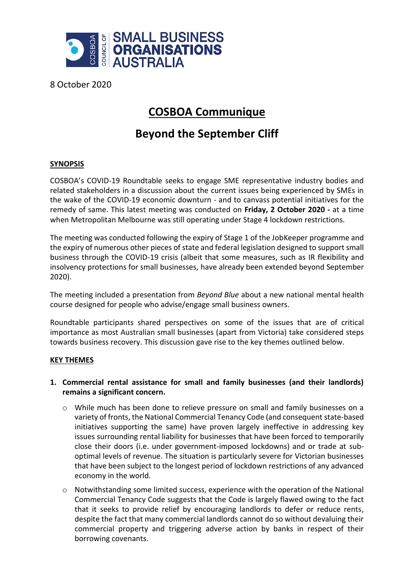

8 October 2020

# **COSBOA Communique**

# **Beyond the September Cliff**

## **SYNOPSIS**

COSBOA's COVID-19 Roundtable seeks to engage SME representative industry bodies and related stakeholders in a discussion about the current issues being experienced by SMEs in the wake of the COVID-19 economic downturn - and to canvass potential initiatives for the remedy of same. This latest meeting was conducted on **Friday, 2 October 2020 -** at a time when Metropolitan Melbourne was still operating under Stage 4 lockdown restrictions.

The meeting was conducted following the expiry of Stage 1 of the JobKeeper programme and the expiry of numerous other pieces of state and federal legislation designed to support small business through the COVID-19 crisis (albeit that some measures, such as IR flexibility and insolvency protections for small businesses, have already been extended beyond September 2020).

The meeting included a presentation from *Beyond Blue* about a new national mental health course designed for people who advise/engage small business owners.

Roundtable participants shared perspectives on some of the issues that are of critical importance as most Australian small businesses (apart from Victoria) take considered steps towards business recovery. This discussion gave rise to the key themes outlined below.

### **KEY THEMES**

## **1. Commercial rental assistance for small and family businesses (and their landlords) remains a significant concern.**

- $\circ$  While much has been done to relieve pressure on small and family businesses on a variety of fronts, the National Commercial Tenancy Code (and consequent state-based initiatives supporting the same) have proven largely ineffective in addressing key issues surrounding rental liability for businesses that have been forced to temporarily close their doors (i.e. under government-imposed lockdowns) and or trade at suboptimal levels of revenue. The situation is particularly severe for Victorian businesses that have been subject to the longest period of lockdown restrictions of any advanced economy in the world.
- o Notwithstanding some limited success, experience with the operation of the National Commercial Tenancy Code suggests that the Code is largely flawed owing to the fact that it seeks to provide relief by encouraging landlords to defer or reduce rents, despite the fact that many commercial landlords cannot do so without devaluing their commercial property and triggering adverse action by banks in respect of their borrowing covenants.